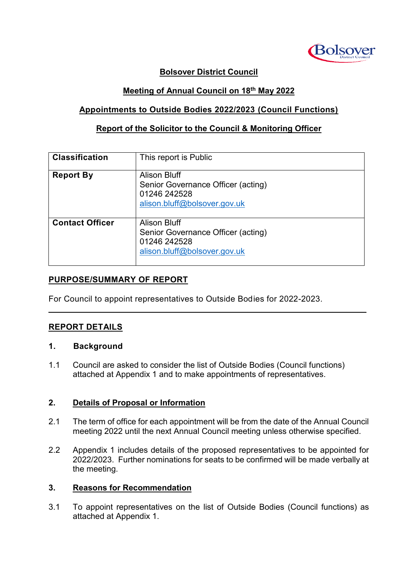

## **Bolsover District Council**

## **Meeting of Annual Council on 18th May 2022**

## **Appointments to Outside Bodies 2022/2023 (Council Functions)**

## **Report of the Solicitor to the Council & Monitoring Officer**

| <b>Classification</b>  | This report is Public                                                                                     |
|------------------------|-----------------------------------------------------------------------------------------------------------|
| <b>Report By</b>       | <b>Alison Bluff</b><br>Senior Governance Officer (acting)<br>01246 242528<br>alison.bluff@bolsover.gov.uk |
| <b>Contact Officer</b> | Alison Bluff<br>Senior Governance Officer (acting)<br>01246 242528<br>alison.bluff@bolsover.gov.uk        |

 $\mathcal{L}_\mathcal{L} = \mathcal{L}_\mathcal{L} = \mathcal{L}_\mathcal{L} = \mathcal{L}_\mathcal{L} = \mathcal{L}_\mathcal{L} = \mathcal{L}_\mathcal{L} = \mathcal{L}_\mathcal{L} = \mathcal{L}_\mathcal{L} = \mathcal{L}_\mathcal{L} = \mathcal{L}_\mathcal{L} = \mathcal{L}_\mathcal{L} = \mathcal{L}_\mathcal{L} = \mathcal{L}_\mathcal{L} = \mathcal{L}_\mathcal{L} = \mathcal{L}_\mathcal{L} = \mathcal{L}_\mathcal{L} = \mathcal{L}_\mathcal{L}$ 

## **PURPOSE/SUMMARY OF REPORT**

For Council to appoint representatives to Outside Bodies for 2022-2023.

## **REPORT DETAILS**

#### **1. Background**

1.1 Council are asked to consider the list of Outside Bodies (Council functions) attached at Appendix 1 and to make appointments of representatives.

#### **2. Details of Proposal or Information**

- 2.1 The term of office for each appointment will be from the date of the Annual Council meeting 2022 until the next Annual Council meeting unless otherwise specified.
- 2.2 Appendix 1 includes details of the proposed representatives to be appointed for 2022/2023. Further nominations for seats to be confirmed will be made verbally at the meeting.

#### **3. Reasons for Recommendation**

3.1 To appoint representatives on the list of Outside Bodies (Council functions) as attached at Appendix 1.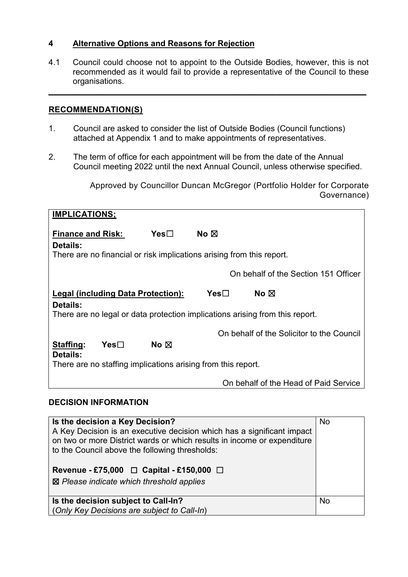## **4 Alternative Options and Reasons for Rejection**

4.1 Council could choose not to appoint to the Outside Bodies, however, this is not recommended as it would fail to provide a representative of the Council to these organisations.

**\_\_\_\_\_\_\_\_\_\_\_\_\_\_\_\_\_\_\_\_\_\_\_\_\_\_\_\_\_\_\_\_\_\_\_\_\_\_\_\_\_\_\_\_\_\_\_\_\_\_\_\_\_\_\_\_\_\_\_\_\_\_\_\_\_\_\_**

# **RECOMMENDATION(S)**

- 1. Council are asked to consider the list of Outside Bodies (Council functions) attached at Appendix 1 and to make appointments of representatives.
- 2. The term of office for each appointment will be from the date of the Annual Council meeting 2022 until the next Annual Council, unless otherwise specified.

Approved by Councillor Duncan McGregor (Portfolio Holder for Corporate Governance)

| <b>IMPLICATIONS;</b>                                                                     |                |                                           |  |  |
|------------------------------------------------------------------------------------------|----------------|-------------------------------------------|--|--|
| <b>Finance and Risk:</b><br>Details:                                                     | $Yes\square$   | No $\boxtimes$                            |  |  |
| There are no financial or risk implications arising from this report.                    |                |                                           |  |  |
|                                                                                          |                | On behalf of the Section 151 Officer      |  |  |
| <b>Legal (including Data Protection):</b><br>Yes⊟<br>No $\boxtimes$                      |                |                                           |  |  |
| Details:<br>There are no legal or data protection implications arising from this report. |                |                                           |  |  |
|                                                                                          |                | On behalf of the Solicitor to the Council |  |  |
| Staffing:<br>Yes                                                                         | No $\boxtimes$ |                                           |  |  |
| Details:<br>There are no staffing implications arising from this report.                 |                |                                           |  |  |
|                                                                                          |                | On behalf of the Head of Paid Service     |  |  |

## **DECISION INFORMATION**

| Is the decision a Key Decision?<br>A Key Decision is an executive decision which has a significant impact<br>on two or more District wards or which results in income or expenditure<br>to the Council above the following thresholds:<br>Revenue - £75,000 $\Box$ Capital - £150,000 $\Box$<br>$\boxtimes$ Please indicate which threshold applies | <b>No</b> |
|-----------------------------------------------------------------------------------------------------------------------------------------------------------------------------------------------------------------------------------------------------------------------------------------------------------------------------------------------------|-----------|
| Is the decision subject to Call-In?<br>(Only Key Decisions are subject to Call-In)                                                                                                                                                                                                                                                                  | <b>No</b> |